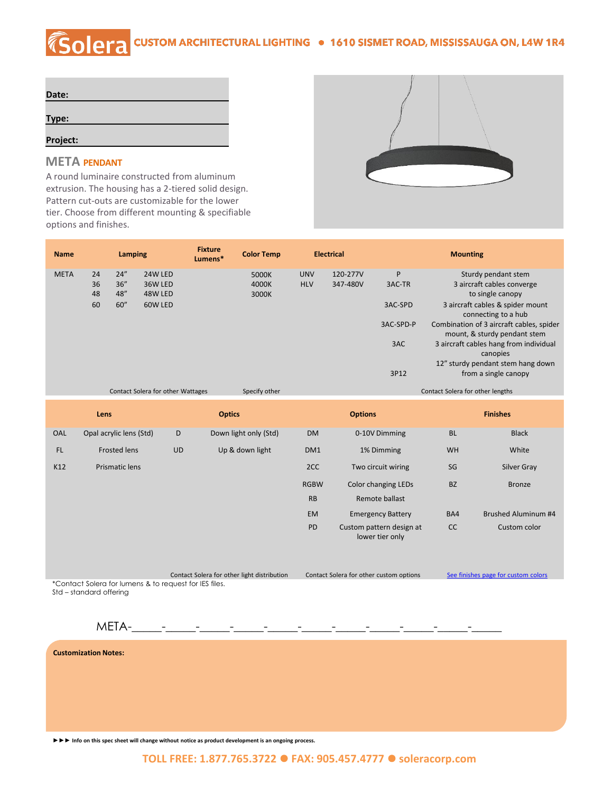## **COLETA** CUSTOM ARCHITECTURAL LIGHTING . 1610 SISMET ROAD, MISSISSAUGA ON, L4W 1R4

| Date:    |  |  |
|----------|--|--|
|          |  |  |
| Type:    |  |  |
|          |  |  |
| Project: |  |  |

## **META PENDANT**

A round luminaire constructed from aluminum extrusion. The housing has a 2-tiered solid design. Pattern cut-outs are customizable for the lower tier. Choose from different mounting & specifiable options and finishes.



| <b>Name</b> |                                                    | Lamping |         | <b>Fixture</b><br>Lumens* | <b>Color Temp</b> | <b>Electrical</b>                |          | <b>Mounting</b> |                                                                          |  |
|-------------|----------------------------------------------------|---------|---------|---------------------------|-------------------|----------------------------------|----------|-----------------|--------------------------------------------------------------------------|--|
| <b>META</b> | 24                                                 | 24''    | 24W LED |                           | 5000K             | <b>UNV</b>                       | 120-277V | P               | Sturdy pendant stem                                                      |  |
|             | 36                                                 | 36''    | 36W LED |                           | 4000K             | <b>HLV</b>                       | 347-480V | 3AC-TR          | 3 aircraft cables converge                                               |  |
|             | 48                                                 | 48"     | 48W LED |                           | 3000K             |                                  |          |                 | to single canopy                                                         |  |
|             | 60                                                 | 60''    | 60W LED |                           |                   |                                  |          | 3AC-SPD         | 3 aircraft cables & spider mount<br>connecting to a hub                  |  |
|             |                                                    |         |         |                           |                   |                                  |          | 3AC-SPD-P       | Combination of 3 aircraft cables, spider<br>mount, & sturdy pendant stem |  |
|             |                                                    |         |         |                           |                   |                                  |          | 3AC             | 3 aircraft cables hang from individual<br>canopies                       |  |
|             |                                                    |         |         |                           |                   |                                  |          |                 | 12" sturdy pendant stem hang down                                        |  |
|             |                                                    |         |         |                           |                   |                                  |          | 3P12            | from a single canopy                                                     |  |
|             | Specify other<br>Contact Solera for other Wattages |         |         |                           |                   | Contact Solera for other lengths |          |                 |                                                                          |  |

| Lens |                         |           | <b>Optics</b>         |                 | <b>Options</b>                              | <b>Finishes</b> |                     |
|------|-------------------------|-----------|-----------------------|-----------------|---------------------------------------------|-----------------|---------------------|
| OAL  | Opal acrylic lens (Std) | D         | Down light only (Std) | <b>DM</b>       | 0-10V Dimming                               | <b>BL</b>       | <b>Black</b>        |
| FL   | <b>Frosted lens</b>     | <b>UD</b> | Up & down light       | DM <sub>1</sub> | 1% Dimming                                  | <b>WH</b>       | White               |
| K12  | Prismatic lens          |           |                       | 2CC             | Two circuit wiring                          | SG              | Silver Gray         |
|      |                         |           |                       | <b>RGBW</b>     | <b>Color changing LEDs</b>                  | <b>BZ</b>       | <b>Bronze</b>       |
|      |                         |           |                       | <b>RB</b>       | Remote ballast                              |                 |                     |
|      |                         |           |                       | <b>EM</b>       | <b>Emergency Battery</b>                    | BA4             | Brushed Aluminum #4 |
|      |                         |           |                       | PD              | Custom pattern design at<br>lower tier only | cc              | Custom color        |

Contact Solera for other light distribution Contact Solera for other custom options See [finishes page for custom colors](http://soleracorp.com/ral.html) \*Contact Solera for lumens & to request for IES files.

Std – standard offering

 $META-$ 

**Customization Notes:**

**►►► Info on this spec sheet will change without notice as product development is an ongoing process.**